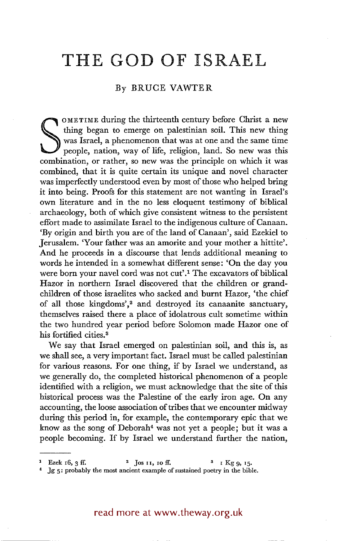## **THE GOD OF ISRAEL**

## By BRUCE VAWTER

was Israel, a phenomenon that was at one and the same time<br>people, nation, way of life, religion, land. So new was this<br>combination, or rather, so new was the principle on which it was OMETIME during the thirteenth century before Christ a new thing began to emerge on palestinian soil. This new thing was Israel, a phenomenon that was at one and the same time people, nation, way of life, religion, land. So new was this combined, that it is quite certain its unique and novel character was imperfectly understood even by most of those who helped bring it into being. Proofs for this statement are not wanting in Israel's own literature and in the no less eloquent testimony of biblical archaeology, both of which give consistent witness to the persistent effort made to assimilate Israel to the indigenous culture of Canaan. 'By origin and birth you are of the land of Canaan', said Ezekiel to Jerusalem. 'Your father was an amorite and your mother a hittite'. And he proceeds in a discourse that lends additional meaning to words he intended in a somewhat different sense: 'On the day you were born your navel cord was not cut'.<sup>1</sup> The excavators of biblical Hazor in northern Israel discovered that the children or grandchildren of those israelites who sacked and burnt Hazor, 'the chief of all those kingdoms',<sup>2</sup> and destroyed its canaanite sanctuary, themselves raised there a place of idolatrous cult sometime within the two hundred year period before Solomon made Hazor one of his fortified cities.<sup>3</sup>

We say that Israel emerged on palestinian soil, and this is, as we shall see, a very important fact. Israel must be called palestinian for various reasons. For one thing, if by Israel we understand, as we generally do, the completed historical phenomenon of a people identified with a religion, we must acknowledge that the site of this historical process was the Palestine of the early iron age. On any accounting, the loose association of tribes that we encounter midway during this period in, for example, the contemporary epic that we know as the song of Deborah<sup>4</sup> was not yet a people; but it was a people becoming. If by Israel we understand further the nation,

read more at www.theway.org.uk

Ezek 16, 3 ff.  $^{2}$  Jos II, 10 ff.  $^{3}$  I Kg 9, 15.

<sup>.]</sup>g 5: probably the most ancient example of sustained poetry in the bible.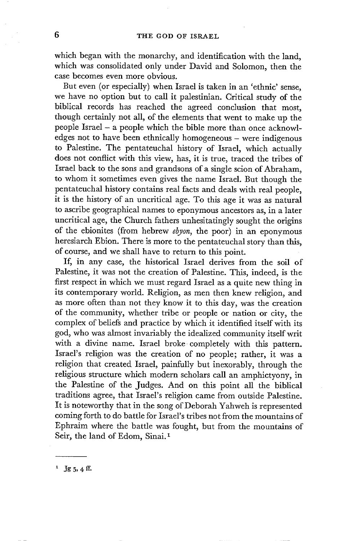which began with the monarchy, and identification with the land, which was consolidated only under David and Solomon, then the case becomes even more obvious.

But even (or especially) when Israel is taken in an 'ethnic' sense, we have no option but to call it palestinian. Critical study of the biblical records has reached the agreed conclusion that most, though certainly not all, of the elements that went to make up the people Israel- a people which the bible more than once acknowledges not to have been ethnically homogeneous - were indigenous to Palestine. The pentateuchal history of Israel, which actually does not conflict with this view, has, it is true, traced the tribes of Israel back to the sons and grandsons of a single scion of Abraham, to whom it sometimes even gives the name Israel. But though the pentateuchal history contains real facts and deals with real people, it is the history of an uncritical age. To this age it was as natural to ascribe geographical names to eponymous ancestors as, in a later uncritical age, the Church fathers unhesitatingly sought the origins of the ebionites (from hebrew *ebyon,* the poor) in an eponymous heresiarch Ebion. There is more to the pentateuchal story than this, of course, and we shall have to return to this point.

If, in any case, the historical Israel derives from the soil of Palestine, it was not the creation of Palestine. This, indeed, is the first respect in which we must regard Israel as a quite new thing in its contemporary world. Religion, as men then knew religion, and as more often than not they know it to this day, was the creation of the community, whether tribe or people or nation or city, the complex of beliefs and practice by which it identified itself with its god, who was almost invariably the idealized community itself writ with a divine name. Israel broke completely with this pattern. Israel's religion was the creation of no people; rather, it was a religion that created Israel, painfully but inexorably, through the religious structure which modern scholars call an amphictyony, in the Palestine of the Judges. And on this point all the biblical traditions agree, that Israel's religion came from outside Palestine. It is noteworthy that in the song of Deborah Yahweh is represented coming forth to do battle for Israel's tribes not from the mountains of Ephraim where the battle was fought, but from the mountains of Seir, the land of Edom, Sinai.<sup>1</sup>

<sup>1</sup> Jg 5, 4 ff.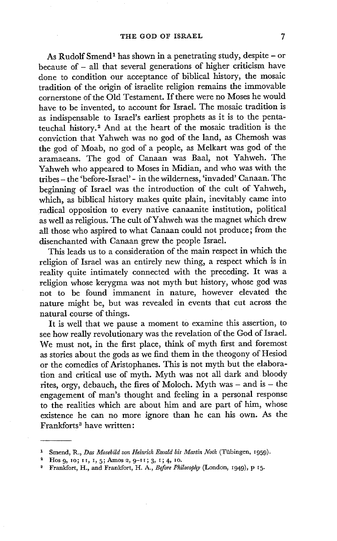As Rudolf Smend<sup>1</sup> has shown in a penetrating study, despite - or because of - all that several generations of higher criticism have done to condition our acceptance of biblical history, the mosaic tradition of the origin of israelite religion remains the immovable cornerstone of the Old Testament. If there were no Moses he would have to be invented, to account for Israel. The mosaic tradition is as indispensable to Israel's earliest prophets as it is to the pentateuchal history.<sup>2</sup> And at the heart of the mosaic tradition is the conviction that Yahweh was no god of the land, as Chemosh was the god of Moab, no god of a people, as Melkart was god of the aramaeans. The god of Canaan was Baal, not Yahweh. The Yahweh who appeared to Moses in Midian, and who was with the tribes- the 'before-Israel' - in the wilderness, 'invaded' Canaan. The beginning of Israel was the introduction of the cult of Yahweh, which, as biblical history makes quite plain, inevitably came into radical opposition to every native canaanite institution, political as well as religious. The cult of Yahweh was the magnet which drew all those who aspired to what Canaan could not produce; from the disenchanted with Canaan grew the people Israel.

This leads us to a consideration of the main respect in which the religion of Israel was an entirely new thing, a respect which is in reality quite intimately connected with the preceding. It was a religion whose kerygma was not myth but history, whose god was not to be found immanent in nature, however elevated the nature might be, but was revealed in events that cut across the natural course of things.

It is well that we pause a moment to examine this assertion, to see how really revolutionary was the revelation of the God of Israel. We must not, in the first place, think of myth first and foremost as stories about the gods as we find them in the theogony of Hesiod or the comedies of Aristophanes. This is not myth but the elaboration and critical use of myth. Myth was not all dark and bloody rites, orgy, debauch, the fires of Moloch. Myth was  $-$  and is  $-$  the engagement of man's thought and feeling in a personal response to the realities which are about him and are part of him, whose existence he can no more ignore than he can his own. As the Frankforts<sup>3</sup> have written:

<sup>&</sup>lt;sup>1</sup> Smend, R., Das Mosebild von Heinrich Ewald bis Martin Noth (Tübingen, 1959).

<sup>&</sup>lt;sup>2</sup> Hos 9, 10; 11, 1, 5; Amos 2, 9-11; 3, 1; 4, 10.

Frankfort, H., and Frankfort, H. A., *Before Philosophy* (London, 1949), p 15.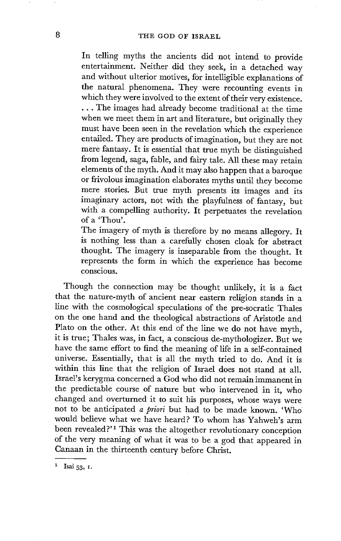In telling myths the ancients did not intend to provide entertainment. Neither did they seek, in a detached way and without ulterior motives, for intelligible explanations of the natural phenomena. They were recounting events in which they were involved to the extent of their very existence. •.. The images had already become traditional at the time when we meet them in art and literature, but originally they must have been seen in the revelation which the experience entailed. They are products of imagination, but they are not mere fantasy. It is essential that true myth be distinguished from legend, saga, fable, and fairy tale. All these may retain elements of the myth. And it may also happen that a baroque or frivolous imagination elaborates myths until they become mere stories. But true myth presents its images and its imaginary actors, not with the playfulness of fantasy, but with a compelling authority. It perpetuates the revelation of a 'Thou'.

The imagery of myth is therefore by no means allegory. It is nothing less than a carefully chosen cloak for abstract thought. The imagery is inseparable from the thought. It represents the form in which the experience has become conscious.

Though the connection may be thought unlikely, it is a fact that the nature-myth of ancient near eastern religion stands in a line with the cosmological speculations of the pre-socratic Thales on the one hand and the theological abstractions of Aristotle and Plato on the other. At this end of the line we do not have myth, it is true; Thales was, in fact, a conscious de-mythologizer. But we have the same effort to find the meaning of life in a self-contained universe. Essentially, that is all the myth tried to do. And it is within this line that the religion of Israel does not stand at all. Israel's kerygma concerned a God who did not remain immanent in the predictable course of nature but who intervened in it, who Changed and overturned it to suit his purposes, whose ways were not to be anticipated *a priori* but had to be made known. 'Who would believe what we have heard? To whom has Yahweh's arm been revealed?'<sup>1</sup> This was the altogether revolutionary conception of the very meaning of what it was to be a god that appeared in Canaan in the thirteenth century before Christ.

<sup>&</sup>lt;sup>1</sup> Isai  $53, 1$ .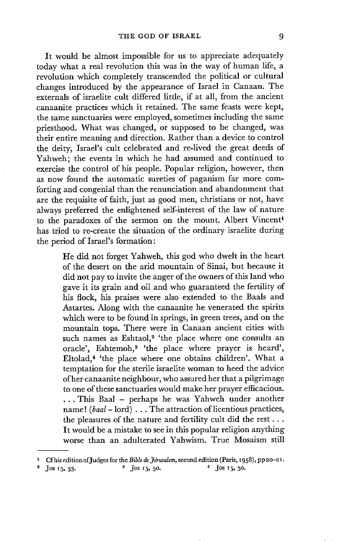• It would be almost impossible for us to appreciate adequately today what a real revolution this was in the way of human life, a revolution which completely transcended the political or cultural changes introduced by the appearance of Israel in Canaan. The externals of israelite cult differed litde, if at all, from the ancient canaanite practices which it retained. The same feasts were kept, the same sanctuaries were employed, sometimes including the same priesthood. What was changed, or supposed to be changed, was their entire meaning and direction. Rather than a device to control the deity, Israel's cult celebrated and re-lived the great deeds of Yahweh; the events in which he had assumed and continued to exercise the control of his people. Popular religion, however, then as now found the automatic sureties of paganism far more comforting and congenial than the renunciation and abandonment that are the requisite of faith, just as good men, christians or not, have always preferred the enlightened self-interest of the law of nature to the paradoxes of the sermon on the mount. Albert Vincent<sup>1</sup> has tried to re-create the situation of the ordinary israelite during the period of Israel's formation:

> He did not forget Yahweh, this god who dwelt in the heart of the desert on the arid mountain of Sinai, but because it did not pay to invite the anger of the owners of this land who gave it its grain and oil and who guaranteed the fertility of his flock, his praises were also extended to the Baals and Astartes. Along with the canaanite he venerated the spirits which were to be found in springs, in green trees, and on the mountain tops. There were in Canaan ancient cities with such names as Eshtaol,<sup>2</sup> 'the place where one consults an oracle', Eshtemoh,<sup>3</sup> 'the place where prayer is heard', Eltolad.<sup>4</sup> 'the place where one obtains children'. What a temptation for the sterile israelite woman to heed the advice of her canaanite neighbour, who assured her that a pilgrimage to one of these sanctuaries would make her prayer efficacious. ... This Baal - perhaps he was Yahweh under another name! *(baal-lord)* ... The attraction of licentious practices, the pleasures of the nature and fertility cult did the rest... It would be a mistake to see in this popular religion anything worse than an adulterated Yahwism. True Mosaism still

**J**os 15, 33. <sup>3</sup> Jos 15, 50. <sup>4</sup> Jos 15, 30.

Cf his edition of Judges for the *Bible de Jérusalem*, second edition (Paris, 1958), pp 20-21.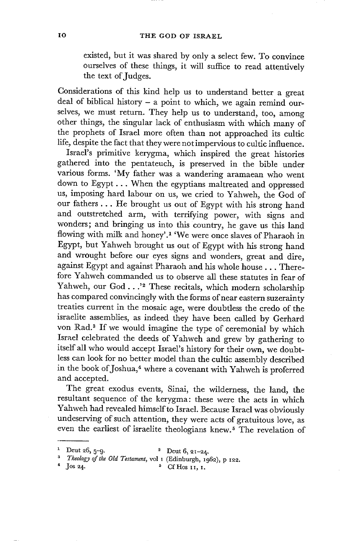## IO THE GOD OF ISRAEL

existed, but it was shared by only a select few. To convince ourselves of these things, it will suffice to read attentively the text of Judges.

Considerations of this kind help us to understand better a great deal of biblical history  $-$  a point to which, we again remind ourselves, we must return. They help us to understand, too, among other things, the singular lack of enthusiasm with which many of the prophets of Israel more often than not approached its cultic life, despite the fact that they were not impervious to cultic influence.

Israel's primitive kerygma, which inspired the great histories gathered into the pentateuch, is preserved in the bible under various forms. 'My father was a wandering aramaean who went down to Egypt... When the egyptians maltreated and oppressed us, imposing hard labour on us, we cried to Yahweh, the God of our fathers... He brought us out of Egypt with his strong hand and outstretched arm, with terrifying power, with signs and wonders; and bringing us into this country, he gave us this land flowing with milk and honey'.<sup>1</sup> 'We were once slaves of Pharaoh in Egypt, but Yahweh brought us out of Egypt with his strong hand and wrought before our eyes signs and wonders, great and dire, against Egypt and against Pharaoh and his whole house... Therefore Yahweh commanded us to observe all these statutes in fear of Yahweh, our God...'<sup>2</sup> These recitals, which modern scholarship has compared convincingly with the forms of near eastern suzerainty treaties current in the mosaic age, were doubtless the credo of the israelite assemblies, as indeed they have been called by Gerhard von Rad.<sup>3</sup> If we would imagine the type of ceremonial by which Israel celebrated the deeds of Yahweh and grew by gathering to itself all who would accept Israel's history for their own, we doubtless can look for no better model than the cultic assembly described in the book of Joshua,<sup>4</sup> where a covenant with Yahweh is proferred and accepted.

The great exodus events, Sinai, the wilderness, the land, the resultant sequence of the kerygma: these were the acts in which Yahweh had revealed himself to Israel. Because Israel was obviously undeserving of such attention, they were acts of gratuitous love, as even the earliest of israelite theologians knew. 5 The revelation of

Deut 26,  $5-9$ .  $2 \text{ Deut } 6$ ,  $21-24$ .

<sup>&</sup>lt;sup>3</sup> Theology of the Old Testament, vol 1 (Edinburgh, 1962), p 122.<br><sup>4</sup> Ios 24.

 $5$  Cf Hos II, I.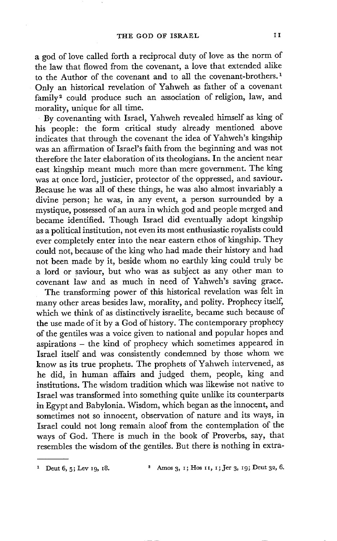a god of love called forth a reciprocal duty of love as the norm of the law that flowed from the covenant, a love that extended alike to the Author of the covenant and to all the covenant-brothers. 1 Only an historical revelation of Yahweh as father of a covenant family<sup>2</sup> could produce such an association of religion, law, and morality, unique for all time.

• By covenanting with Israel, Yahweh revealed himself as king of his people: the form critical study already mentioned above indicates that through the covenant the idea of Yahweh's kingship was an affirmation of Israel's faith from the beginning and was not therefore the later elaboration of its theologians. In the ancient near east kingship meant much more than mere government. The king was at once lord, justicier, protector of the oppressed, and saviour. Because he was all of these things, he was also almost invariably a divine person; he was, in any event, a person surrounded by a mystique, possessed of an aura in which god and people merged and became identified. Though Israel did eventually adopt kingship as a political institution, not even its most enthusiastic royalists could ever completely enter into the near eastern ethos of kingship. They could not, because of the king who had made their history and had not been made by it, beside whom no earthly king could truly be a lord or saviour, but who was as subject as any other man to covenant law and as much in need of Yahweh's saving grace.

The transforming power of this historical revelation was felt in many other areas besides law, morality, and polity. Prophecy itself, which we think of as distinctively israelite, became such because of the use made of it by a God of history. The contemporary prophecy of the gentiles was a voice given to national and popular hopes and aspirations - the kind of prophecy which sometimes appeared in Israel itself and was consistently condemned by those whom we know as its true prophets. The prophets of Yahweh intervened, as he did, in human affairs and judged them, people, king and institutions. The wisdom tradition which was likewise not native to Israel was transformed into something quite unlike its counterparts in Egypt and Babylonia. Wisdom, which began as the innocent, and sometimes not so innocent, observation of nature and its ways, in Israel could not long remain aloof from the contemplation of the ways of God. There is much in the book of Proverbs, say, that resembles the wisdom of the gentiles. But there is nothing in extra-

<sup>&</sup>lt;sup>1</sup> Deut 6, 5; Lev 19, 18. <br><sup>2</sup> Amos 3, 1; Hos 11, 1; Jer 3, 19; Deut 32, 6.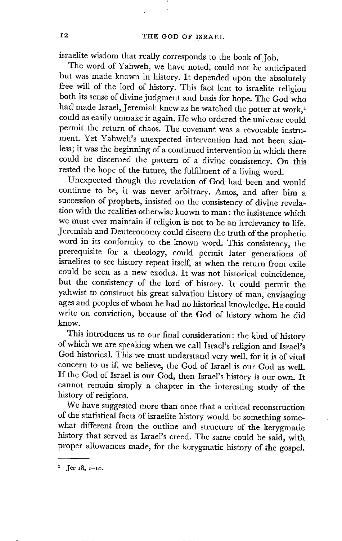israelite wisdom that really corresponds to the book of Job.

The word of Yahweh, we have noted, could not be anticipated but was made known in history. It depended upon the absolutely free will of the lord of history. This fact lent to israelite religion both its sense of divine judgment and basis for hope. The God who had made Israel, Jeremiah knew as he watched the potter at work,<sup>1</sup> could as easily unmake it again. He who ordered the universe could permit the return of chaos. The covenant was a revocable instrument. Yet Yahweh's unexpected intervention had not been aimless; it was the beginning of a continued intervention in which there could be discerned the pattern of a divine consistency. On this rested the hope of the future, the fulfilment of a living word.

Unexpected though the revelation of God had been and would continue to be, it was never arbitrary. Amos, and after him a succession of prophets, insisted on the consistency of divine revelation with the realities otherwise known to man: the insistence which we must ever maintain if religion is not to be an irrelevancy to life. Jeremiah and Deuteronomy could discern the truth of the prophetic word in its conformity to the known word. This consistency, the prerequisite for a theology, could permit later generations of israelites to see history repeat itself, as when the return from exile could be seen as a new exodus. It was not historical coincidence, but the consistency of the lord of history. It could permit the yahwist to construct his great salvation history of man, envisaging ages and peoples of whom he had no historical knowledge. He could write on conviction, because of the God of history whom he did know.

This introduces us to our final consideration: the kind of history of which we are speaking when we call Israel's religion and Israel's God historical. This we must understand very well, for it is of vital concern to us if, we believe, the God of Israel is our God as well. If the God of Israel is our God, then Israel's history is our own. It cannot remain simply a chapter in the interesting study of the history of religions.

We have suggested more than once that a critical reconstruction of the statistical facts of israelite history would be something somewhat different from the outline and structure of the kerygmatic history that served as Israel's creed. The same could be said, with proper allowances made, for the kerygmatic history of the gospel.

 $1$  Jer  $18, 1-10$ .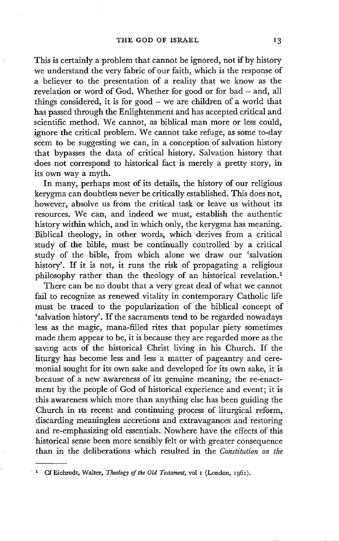This is certainly a problem that cannot be ignored, not if by history we understand the very fabric of our faith, which is the response of a believer to the presentation of a reality that we know as the revelation or word of God. Whether for good or for bad - and, all things considered, it is for good  $-$  we are children of a world that has passed through the Enlightenment and has accepted critical and scientific method. We cannot, as biblical man more or less could, ignore the critical problem. We cannot take refuge, as some to-day seem to be suggesting we can, in a conception of salvation history that bypasses the data of critical history. Salvation history that does not correspond to historical fact is merely a pretty story, in its own way a myth.

In many, perhaps most of its details, the history of our religious kerygma can doubtless never be critically established. This does not, however, absolve us from the critical task or leave us without its resources. We can, and indeed we must, establish the authentic history within which, and in which only, the kerygma has meaning. Biblical theology, in other words, which derives from a critical study of the bible, must be continually controlled by a critical study of the bible, from which alone we draw our 'salvation history'. If it is not, it runs the risk of propagating a religious philosophy rather than the theology of an historical revelation.<sup>1</sup>

There can be no doubt that a very great deal of what we cannot fail to recognize as renewed vitality in contemporary Catholic life must be traced to the popularization of the biblical concept of 'salvation history'. If the sacraments tend to be regarded nowadays less as the magic, mana-filled rites that popular piety sometimes made them appear to be, it is because they are regarded more as the saving acts of the historical Christ living in his Church. If the liturgy has become less and less a matter of pageantry and ceremonial sought for its own sake and developed for its own sake, it is because of a new awareness of its genuine meaning, the re-enactment by the people of God of historical experience and event; it is this awareness which more than anything else has been guiding the Church in its recent and continuing process of liturgical reform, discarding meaningless accretions and extravagances and restoring and re-emphasizing old essentials. Nowhere have the effects of this historical sense been more sensibly felt or with greater consequence than in the deliberations which resulted in the *Constitution on the* 

<sup>&</sup>lt;sup>1</sup> Cf Eichrodt, Walter, *Theology of the Old Testament*, vol 1 (London, 1961).